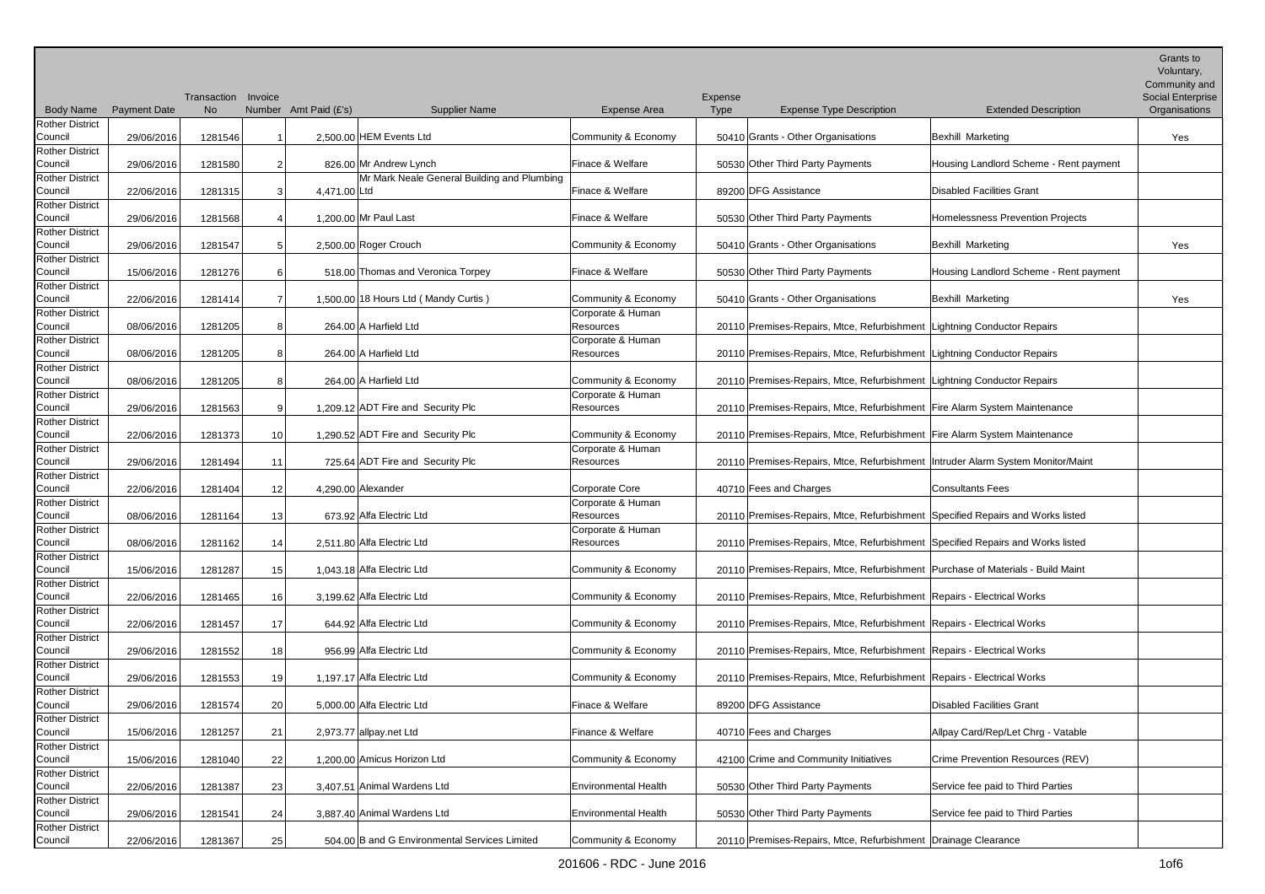|                                   |                     |                     |                 |                       |                                               |                                |         |                                                                                   |                                        | Grants to<br>Voluntary,<br>Community and |
|-----------------------------------|---------------------|---------------------|-----------------|-----------------------|-----------------------------------------------|--------------------------------|---------|-----------------------------------------------------------------------------------|----------------------------------------|------------------------------------------|
|                                   |                     | Transaction Invoice |                 |                       |                                               |                                | Expense |                                                                                   |                                        | Social Enterprise                        |
| <b>Body Name</b>                  | <b>Payment Date</b> | <b>No</b>           |                 | Number Amt Paid (£'s) | <b>Supplier Name</b>                          | Expense Area                   | Type    | <b>Expense Type Description</b>                                                   | <b>Extended Description</b>            | Organisations                            |
| <b>Rother District</b><br>Council | 29/06/2016          | 1281546             |                 |                       | 2.500.00 HEM Events Ltd                       | Community & Economy            |         | 50410 Grants - Other Organisations                                                | Bexhill Marketing                      | Yes                                      |
| <b>Rother District</b>            |                     |                     |                 |                       |                                               |                                |         |                                                                                   |                                        |                                          |
| Council                           | 29/06/2016          | 1281580             | 2               |                       | 826.00 Mr Andrew Lynch                        | Finace & Welfare               |         | 50530 Other Third Party Payments                                                  | Housing Landlord Scheme - Rent payment |                                          |
| <b>Rother District</b>            |                     |                     |                 |                       | Mr Mark Neale General Building and Plumbing   |                                |         |                                                                                   |                                        |                                          |
| Council<br><b>Rother District</b> | 22/06/2016          | 1281315             | 3               | 4,471.00 Ltd          |                                               | Finace & Welfare               |         | 89200 DFG Assistance                                                              | Disabled Facilities Grant              |                                          |
| Council                           | 29/06/2016          | 1281568             | 4               |                       | 1.200.00 Mr Paul Last                         | Finace & Welfare               |         | 50530 Other Third Party Payments                                                  | Homelessness Prevention Projects       |                                          |
| <b>Rother District</b>            |                     |                     |                 |                       |                                               |                                |         |                                                                                   |                                        |                                          |
| Council                           | 29/06/2016          | 1281547             | 5               |                       | 2,500.00 Roger Crouch                         | Community & Economy            |         | 50410 Grants - Other Organisations                                                | Bexhill Marketing                      | Yes                                      |
| <b>Rother District</b>            |                     |                     |                 |                       |                                               |                                |         |                                                                                   |                                        |                                          |
| Council                           | 15/06/2016          | 1281276             | 6               |                       | 518.00 Thomas and Veronica Torpey             | Finace & Welfare               |         | 50530 Other Third Party Payments                                                  | Housing Landlord Scheme - Rent payment |                                          |
| <b>Rother District</b>            |                     |                     |                 |                       |                                               |                                |         |                                                                                   |                                        |                                          |
| Council                           | 22/06/2016          | 1281414             | $\overline{7}$  |                       | 1,500.00 18 Hours Ltd (Mandy Curtis)          | Community & Economy            |         | 50410 Grants - Other Organisations                                                | Bexhill Marketing                      | Yes                                      |
| <b>Rother District</b>            |                     |                     |                 |                       |                                               | Corporate & Human              |         |                                                                                   |                                        |                                          |
| Council                           | 08/06/2016          | 1281205             | 8               |                       | 264.00 A Harfield Ltd                         | Resources                      |         | 20110 Premises-Repairs, Mtce, Refurbishment Lightning Conductor Repairs           |                                        |                                          |
| <b>Rother District</b><br>Council |                     |                     |                 |                       | 264.00 A Harfield Ltd                         | Corporate & Human              |         |                                                                                   |                                        |                                          |
| <b>Rother District</b>            | 08/06/2016          | 1281205             | 8               |                       |                                               | Resources                      |         | 20110 Premises-Repairs, Mtce, Refurbishment Lightning Conductor Repairs           |                                        |                                          |
| Council                           | 08/06/2016          | 1281205             | 8               |                       | 264.00 A Harfield Ltd                         | Community & Economy            |         | 20110 Premises-Repairs, Mtce, Refurbishment Lightning Conductor Repairs           |                                        |                                          |
| <b>Rother District</b>            |                     |                     |                 |                       |                                               | Corporate & Human              |         |                                                                                   |                                        |                                          |
| Council                           | 29/06/2016          | 1281563             | 9               |                       | 1,209.12 ADT Fire and Security Plc            | Resources                      |         | 20110 Premises-Repairs, Mtce, Refurbishment Fire Alarm System Maintenance         |                                        |                                          |
| <b>Rother District</b>            |                     |                     |                 |                       |                                               |                                |         |                                                                                   |                                        |                                          |
| Council                           | 22/06/2016          | 1281373             | 10 <sup>1</sup> |                       | 1,290.52 ADT Fire and Security Plc            | Community & Economy            |         | 20110 Premises-Repairs, Mtce, Refurbishment Fire Alarm System Maintenance         |                                        |                                          |
| <b>Rother District</b>            |                     |                     |                 |                       |                                               | Corporate & Human              |         |                                                                                   |                                        |                                          |
| Council                           | 29/06/2016          | 1281494             | 11              |                       | 725.64 ADT Fire and Security Plc              | Resources                      |         | 20110 Premises-Repairs, Mtce, Refurbishment   Intruder Alarm System Monitor/Maint |                                        |                                          |
| <b>Rother District</b>            |                     |                     |                 |                       |                                               |                                |         |                                                                                   |                                        |                                          |
| Council                           | 22/06/2016          | 1281404             | 12              |                       | 4,290.00 Alexander                            | Corporate Core                 |         | 40710 Fees and Charges                                                            | <b>Consultants Fees</b>                |                                          |
| <b>Rother District</b><br>Council | 08/06/2016          | 1281164             | 13              |                       | 673.92 Alfa Electric Ltd                      | Corporate & Human<br>Resources |         | 20110 Premises-Repairs, Mtce, Refurbishment Specified Repairs and Works listed    |                                        |                                          |
| <b>Rother District</b>            |                     |                     |                 |                       |                                               | Corporate & Human              |         |                                                                                   |                                        |                                          |
| Council                           | 08/06/2016          | 1281162             | 14              |                       | 2,511.80 Alfa Electric Ltd                    | Resources                      |         | 20110 Premises-Repairs, Mtce, Refurbishment Specified Repairs and Works listed    |                                        |                                          |
| <b>Rother District</b>            |                     |                     |                 |                       |                                               |                                |         |                                                                                   |                                        |                                          |
| Council                           | 15/06/2016          | 1281287             | 15              |                       | 1,043.18 Alfa Electric Ltd                    | Community & Economy            |         | 20110 Premises-Repairs, Mtce, Refurbishment   Purchase of Materials - Build Maint |                                        |                                          |
| <b>Rother District</b>            |                     |                     |                 |                       |                                               |                                |         |                                                                                   |                                        |                                          |
| Council                           | 22/06/2016          | 1281465             | 16              |                       | 3,199.62 Alfa Electric Ltd                    | Community & Economy            |         | 20110 Premises-Repairs, Mtce, Refurbishment Repairs - Electrical Works            |                                        |                                          |
| <b>Rother District</b>            |                     |                     |                 |                       |                                               |                                |         |                                                                                   |                                        |                                          |
| Council                           | 22/06/2016          | 1281457             | 17              |                       | 644.92 Alfa Electric Ltd                      | Community & Economy            |         | 20110 Premises-Repairs, Mtce, Refurbishment Repairs - Electrical Works            |                                        |                                          |
| <b>Rother District</b>            |                     |                     |                 |                       |                                               |                                |         | 20110 Premises-Repairs, Mtce, Refurbishment Repairs - Electrical Works            |                                        |                                          |
| Council<br><b>Rother District</b> | 29/06/2016          | 1281552             | 18              |                       | 956.99 Alfa Electric Ltd                      | Community & Economy            |         |                                                                                   |                                        |                                          |
| Council                           | 29/06/2016          | 1281553             | -19             |                       | 1,197.17 Alfa Electric Ltd                    | Community & Economy            |         | 20110 Premises-Repairs, Mtce, Refurbishment Repairs - Electrical Works            |                                        |                                          |
| <b>Rother District</b>            |                     |                     |                 |                       |                                               |                                |         |                                                                                   |                                        |                                          |
| Council                           | 29/06/2016          | 1281574             | 20              |                       | 5,000.00 Alfa Electric Ltd                    | Finace & Welfare               |         | 89200 DFG Assistance                                                              | Disabled Facilities Grant              |                                          |
| <b>Rother District</b>            |                     |                     |                 |                       |                                               |                                |         |                                                                                   |                                        |                                          |
| Council                           | 15/06/2016          | 1281257             | 21              |                       | 2,973.77 allpay.net Ltd                       | Finance & Welfare              |         | 40710 Fees and Charges                                                            | Allpay Card/Rep/Let Chrg - Vatable     |                                          |
| <b>Rother District</b>            |                     |                     |                 |                       |                                               |                                |         |                                                                                   |                                        |                                          |
| Council                           | 15/06/2016          | 1281040             | 22              |                       | 1,200.00 Amicus Horizon Ltd                   | Community & Economy            |         | 42100 Crime and Community Initiatives                                             | Crime Prevention Resources (REV)       |                                          |
| <b>Rother District</b>            |                     |                     |                 |                       |                                               |                                |         |                                                                                   |                                        |                                          |
| Council                           | 22/06/2016          | 1281387             | 23              |                       | 3,407.51 Animal Wardens Ltd                   | Environmental Health           |         | 50530 Other Third Party Payments                                                  | Service fee paid to Third Parties      |                                          |
| <b>Rother District</b><br>Council |                     |                     | 24              |                       | 3,887.40 Animal Wardens Ltd                   | Environmental Health           |         | 50530 Other Third Party Payments                                                  | Service fee paid to Third Parties      |                                          |
| <b>Rother District</b>            | 29/06/2016          | 1281541             |                 |                       |                                               |                                |         |                                                                                   |                                        |                                          |
| Council                           | 22/06/2016          | 1281367             | 25              |                       | 504.00 B and G Environmental Services Limited | Community & Economy            |         | 20110 Premises-Repairs, Mtce, Refurbishment Drainage Clearance                    |                                        |                                          |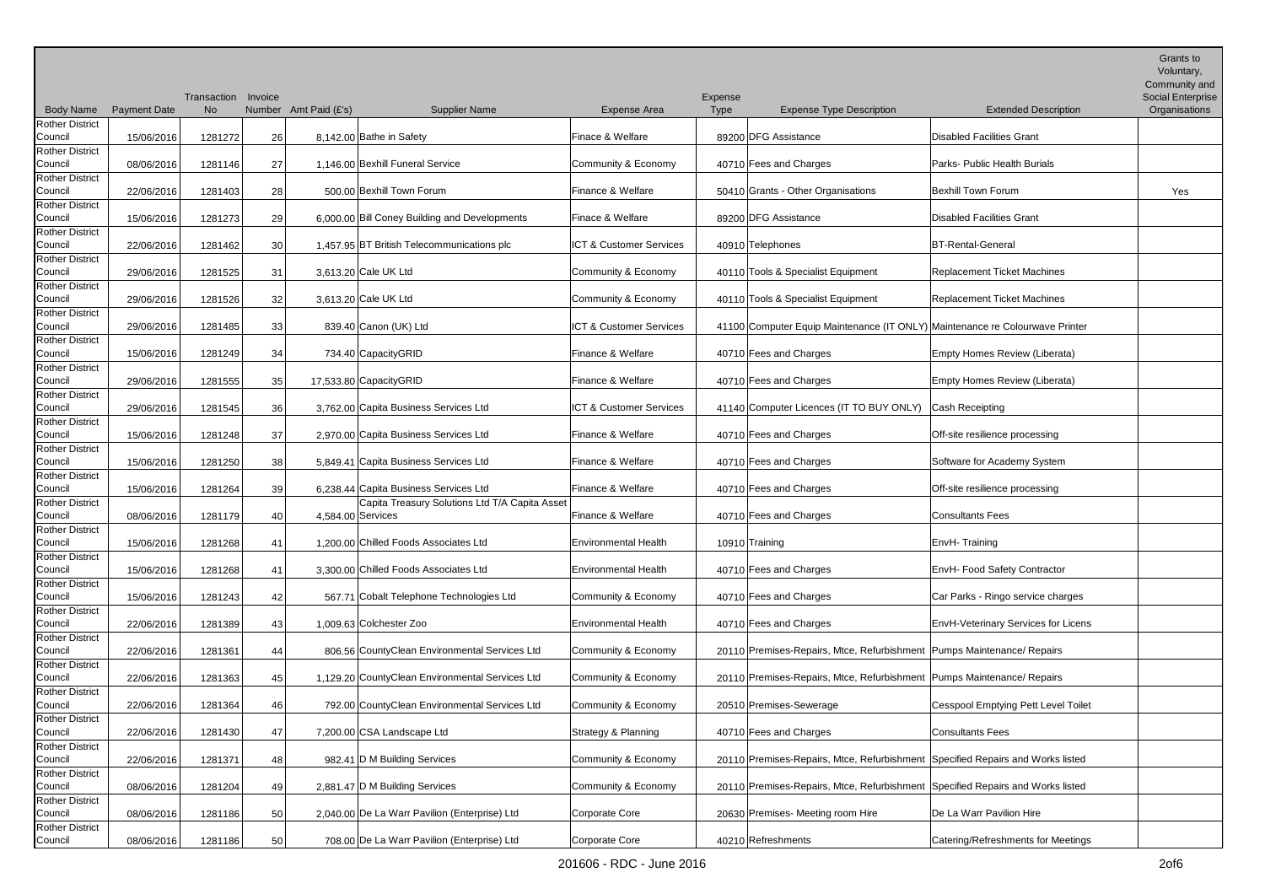| <b>Body Name</b>                  | <b>Payment Date</b> | Transaction Invoice<br><b>No</b> |    | Number Amt Paid (£'s)<br><b>Supplier Name</b>                       | <b>Expense Area</b>                | Expense<br><b>Type</b> | <b>Expense Type Description</b>                                                | <b>Extended Description</b>         | Grants to<br>Voluntary,<br>Community and<br><b>Social Enterprise</b><br>Organisations |
|-----------------------------------|---------------------|----------------------------------|----|---------------------------------------------------------------------|------------------------------------|------------------------|--------------------------------------------------------------------------------|-------------------------------------|---------------------------------------------------------------------------------------|
| <b>Rother District</b>            |                     |                                  |    |                                                                     |                                    |                        |                                                                                |                                     |                                                                                       |
| Council                           | 15/06/2016          | 1281272                          | 26 | 8,142.00 Bathe in Safety                                            | Finace & Welfare                   |                        | 89200 DFG Assistance                                                           | <b>Disabled Facilities Grant</b>    |                                                                                       |
| <b>Rother District</b><br>Council | 08/06/2016          | 1281146                          | 27 | 1,146.00 Bexhill Funeral Service                                    | Community & Economy                |                        | 40710 Fees and Charges                                                         | Parks- Public Health Burials        |                                                                                       |
| <b>Rother District</b><br>Council | 22/06/2016          | 1281403                          | 28 | 500.00 Bexhill Town Forum                                           | Finance & Welfare                  |                        | 50410 Grants - Other Organisations                                             | Bexhill Town Forum                  | Yes                                                                                   |
| <b>Rother District</b><br>Council | 15/06/2016          | 1281273                          | 29 | 6,000.00 Bill Coney Building and Developments                       | Finace & Welfare                   |                        | 89200 DFG Assistance                                                           | Disabled Facilities Grant           |                                                                                       |
| <b>Rother District</b><br>Council | 22/06/2016          | 1281462                          | 30 | 1,457.95 BT British Telecommunications plc                          | ICT & Customer Services            |                        | 40910 Telephones                                                               | <b>BT-Rental-General</b>            |                                                                                       |
| <b>Rother District</b><br>Council | 29/06/2016          | 1281525                          | 31 | 3,613.20 Cale UK Ltd                                                | Community & Economy                |                        | 40110 Tools & Specialist Equipment                                             | <b>Replacement Ticket Machines</b>  |                                                                                       |
| <b>Rother District</b>            |                     |                                  |    |                                                                     |                                    |                        |                                                                                |                                     |                                                                                       |
| Council<br><b>Rother District</b> | 29/06/2016          | 1281526                          | 32 | 3,613.20 Cale UK Ltd                                                | Community & Economy                |                        | 40110 Tools & Specialist Equipment                                             | <b>Replacement Ticket Machines</b>  |                                                                                       |
| Council                           | 29/06/2016          | 1281485                          | 33 | 839.40 Canon (UK) Ltd                                               | <b>ICT &amp; Customer Services</b> |                        | 41100 Computer Equip Maintenance (IT ONLY) Maintenance re Colourwave Printer   |                                     |                                                                                       |
| <b>Rother District</b><br>Council | 15/06/2016          | 1281249                          | 34 | 734.40 CapacityGRID                                                 | Finance & Welfare                  |                        | 40710 Fees and Charges                                                         | Empty Homes Review (Liberata)       |                                                                                       |
| <b>Rother District</b><br>Council | 29/06/2016          | 1281555                          | 35 | 17,533.80 CapacityGRID                                              | Finance & Welfare                  |                        | 40710 Fees and Charges                                                         | Empty Homes Review (Liberata)       |                                                                                       |
| <b>Rother District</b><br>Council | 29/06/2016          | 1281545                          | 36 | 3.762.00 Capita Business Services Ltd                               | ICT & Customer Services            |                        | 41140 Computer Licences (IT TO BUY ONLY)                                       | Cash Receipting                     |                                                                                       |
| <b>Rother District</b><br>Council | 15/06/2016          | 1281248                          | 37 | 2,970.00 Capita Business Services Ltd                               | Finance & Welfare                  |                        | 40710 Fees and Charges                                                         | Off-site resilience processing      |                                                                                       |
| <b>Rother District</b>            |                     |                                  |    |                                                                     |                                    |                        |                                                                                |                                     |                                                                                       |
| Council<br><b>Rother District</b> | 15/06/2016          | 1281250                          | 38 | 5,849.41 Capita Business Services Ltd                               | Finance & Welfare                  |                        | 40710 Fees and Charges                                                         | Software for Academy System         |                                                                                       |
| Council                           | 15/06/2016          | 1281264                          | 39 | 6,238.44 Capita Business Services Ltd                               | Finance & Welfare                  |                        | 40710 Fees and Charges                                                         | Off-site resilience processing      |                                                                                       |
| <b>Rother District</b><br>Council | 08/06/2016          | 1281179                          | 40 | Capita Treasury Solutions Ltd T/A Capita Asset<br>4,584.00 Services | Finance & Welfare                  |                        | 40710 Fees and Charges                                                         | Consultants Fees                    |                                                                                       |
| <b>Rother District</b><br>Council | 15/06/2016          | 1281268                          | 41 | 1.200.00 Chilled Foods Associates Ltd                               | <b>Environmental Health</b>        |                        | 10910 Training                                                                 | EnvH-Training                       |                                                                                       |
| <b>Rother District</b><br>Council | 15/06/2016          | 1281268                          | 41 | 3,300.00 Chilled Foods Associates Ltd                               | <b>Environmental Health</b>        |                        | 40710 Fees and Charges                                                         | EnvH- Food Safety Contractor        |                                                                                       |
| <b>Rother District</b><br>Council | 15/06/2016          | 1281243                          | 42 | 567.71 Cobalt Telephone Technologies Ltd                            | Community & Economy                |                        | 40710 Fees and Charges                                                         | Car Parks - Ringo service charges   |                                                                                       |
| Rother District<br>Council        | 22/06/2016          | 1281389                          | 43 | 1,009.63 Colchester Zoo                                             | <b>Environmental Health</b>        |                        | 40710 Fees and Charges                                                         | EnvH-Veterinary Services for Licens |                                                                                       |
| <b>Rother District</b><br>Council | 22/06/2016          | 1281361                          | 44 | 806.56 CountyClean Environmental Services Ltd                       | Community & Economy                |                        | 20110 Premises-Repairs, Mtce, Refurbishment   Pumps Maintenance/ Repairs       |                                     |                                                                                       |
| <b>Rother District</b><br>Council | 22/06/2016          | 1281363                          | 45 | 1,129.20 CountyClean Environmental Services Ltd                     | Community & Economy                |                        | 20110 Premises-Repairs, Mtce, Refurbishment Pumps Maintenance/ Repairs         |                                     |                                                                                       |
| <b>Rother District</b><br>Council |                     |                                  |    | 792.00 CountyClean Environmental Services Ltd                       | Community & Economy                |                        |                                                                                | Cesspool Emptying Pett Level Toilet |                                                                                       |
| <b>Rother District</b>            | 22/06/2016          | 1281364                          | 46 |                                                                     |                                    |                        | 20510 Premises-Sewerage                                                        |                                     |                                                                                       |
| Council<br><b>Rother District</b> | 22/06/2016          | 1281430                          | 47 | 7,200.00 CSA Landscape Ltd                                          | Strategy & Planning                |                        | 40710 Fees and Charges                                                         | Consultants Fees                    |                                                                                       |
| Council<br><b>Rother District</b> | 22/06/2016          | 1281371                          | 48 | 982.41 D M Building Services                                        | Community & Economy                |                        | 20110 Premises-Repairs, Mtce, Refurbishment Specified Repairs and Works listed |                                     |                                                                                       |
| Council                           | 08/06/2016          | 1281204                          | 49 | 2,881.47 D M Building Services                                      | Community & Economy                |                        | 20110 Premises-Repairs, Mtce, Refurbishment Specified Repairs and Works listed |                                     |                                                                                       |
| <b>Rother District</b><br>Council | 08/06/2016          | 1281186                          | 50 | 2,040.00 De La Warr Pavilion (Enterprise) Ltd                       | Corporate Core                     |                        | 20630 Premises-Meeting room Hire                                               | De La Warr Pavilion Hire            |                                                                                       |
| <b>Rother District</b><br>Council | 08/06/2016          | 1281186                          | 50 | 708.00 De La Warr Pavilion (Enterprise) Ltd                         | Corporate Core                     |                        | 40210 Refreshments                                                             | Catering/Refreshments for Meetings  |                                                                                       |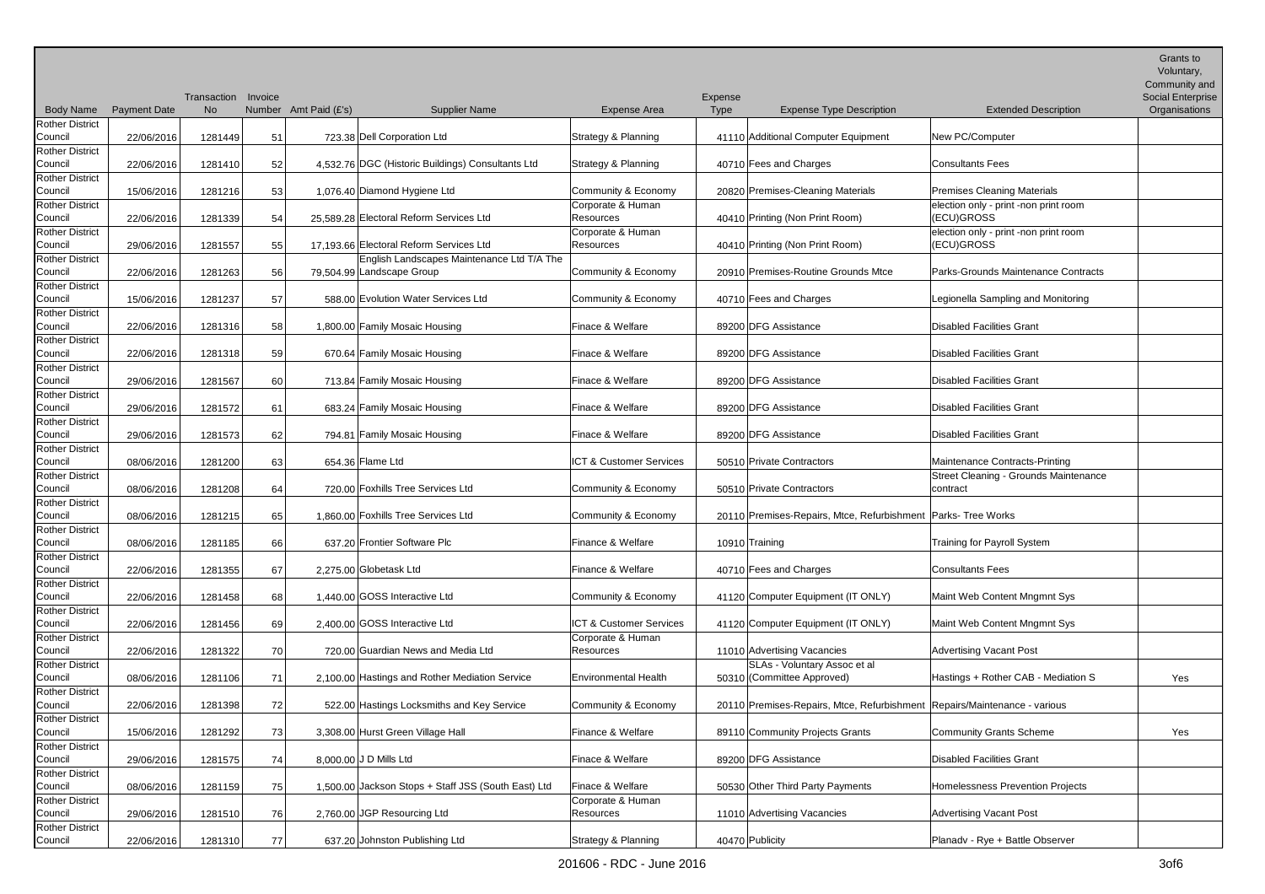|                                   |                     | Transaction Invoice |    |                                                                         |                                | Expense     |                                                                           |                                                     | Grants to<br>Voluntary,<br>Community and<br><b>Social Enterprise</b> |
|-----------------------------------|---------------------|---------------------|----|-------------------------------------------------------------------------|--------------------------------|-------------|---------------------------------------------------------------------------|-----------------------------------------------------|----------------------------------------------------------------------|
| <b>Body Name</b>                  | <b>Payment Date</b> | No                  |    | Number Amt Paid (£'s)<br><b>Supplier Name</b>                           | <b>Expense Area</b>            | <b>Type</b> | <b>Expense Type Description</b>                                           | <b>Extended Description</b>                         | Organisations                                                        |
| <b>Rother District</b><br>Council | 22/06/2016          | 1281449             | 51 | 723.38 Dell Corporation Ltd                                             | Strategy & Planning            |             | 41110 Additional Computer Equipment                                       | New PC/Computer                                     |                                                                      |
| <b>Rother District</b><br>Council | 22/06/2016          | 1281410             | 52 | 4,532.76 DGC (Historic Buildings) Consultants Ltd                       | <b>Strategy &amp; Planning</b> |             | 40710 Fees and Charges                                                    | <b>Consultants Fees</b>                             |                                                                      |
| <b>Rother District</b><br>Council | 15/06/2016          | 1281216             | 53 | 1,076.40 Diamond Hygiene Ltd                                            | Community & Economy            |             | 20820 Premises-Cleaning Materials                                         | <b>Premises Cleaning Materials</b>                  |                                                                      |
| <b>Rother District</b><br>Council | 22/06/2016          | 1281339             | 54 | 25,589.28 Electoral Reform Services Ltd                                 | Corporate & Human<br>Resources |             | 40410 Printing (Non Print Room)                                           | election only - print -non print room<br>(ECU)GROSS |                                                                      |
| <b>Rother District</b><br>Council | 29/06/2016          | 1281557             | 55 | 17,193.66 Electoral Reform Services Ltd                                 | Corporate & Human<br>Resources |             | 40410 Printing (Non Print Room)                                           | election only - print -non print room<br>(ECU)GROSS |                                                                      |
| <b>Rother District</b><br>Council | 22/06/2016          | 1281263             | 56 | English Landscapes Maintenance Ltd T/A The<br>79,504.99 Landscape Group | Community & Economy            |             | 20910 Premises-Routine Grounds Mtce                                       | Parks-Grounds Maintenance Contracts                 |                                                                      |
| <b>Rother District</b><br>Council | 15/06/2016          | 1281237             | 57 | 588.00 Evolution Water Services Ltd                                     | Community & Economy            |             | 40710 Fees and Charges                                                    | Legionella Sampling and Monitoring                  |                                                                      |
| <b>Rother District</b><br>Council | 22/06/2016          | 1281316             | 58 | 1,800.00 Family Mosaic Housing                                          | Finace & Welfare               |             | 89200 DFG Assistance                                                      | Disabled Facilities Grant                           |                                                                      |
| <b>Rother District</b><br>Council | 22/06/2016          | 1281318             | 59 | 670.64 Family Mosaic Housing                                            | Finace & Welfare               |             | 89200 DFG Assistance                                                      | Disabled Facilities Grant                           |                                                                      |
| Rother District<br>Council        | 29/06/2016          | 1281567             | 60 | 713.84 Family Mosaic Housing                                            | Finace & Welfare               |             | 89200 DFG Assistance                                                      | Disabled Facilities Grant                           |                                                                      |
| <b>Rother District</b><br>Council | 29/06/2016          | 1281572             | 61 | 683.24 Family Mosaic Housing                                            | Finace & Welfare               |             | 89200 DFG Assistance                                                      | Disabled Facilities Grant                           |                                                                      |
| <b>Rother District</b><br>Council | 29/06/2016          | 1281573             | 62 | 794.81 Family Mosaic Housing                                            | Finace & Welfare               |             | 89200 DFG Assistance                                                      | Disabled Facilities Grant                           |                                                                      |
| <b>Rother District</b><br>Council | 08/06/2016          | 1281200             | 63 | 654.36 Flame Ltd                                                        | ICT & Customer Services        |             | 50510 Private Contractors                                                 | Maintenance Contracts-Printing                      |                                                                      |
| <b>Rother District</b><br>Council | 08/06/2016          | 1281208             | 64 | 720.00 Foxhills Tree Services Ltd                                       | Community & Economy            |             | 50510 Private Contractors                                                 | Street Cleaning - Grounds Maintenance<br>contract   |                                                                      |
| <b>Rother District</b><br>Council | 08/06/2016          | 1281215             | 65 | 1.860.00 Foxhills Tree Services Ltd                                     | Community & Economy            |             | 20110 Premises-Repairs, Mtce, Refurbishment Parks-Tree Works              |                                                     |                                                                      |
| <b>Rother District</b><br>Council | 08/06/2016          | 1281185             | 66 | 637.20 Frontier Software Plc                                            | Finance & Welfare              |             | 10910 Training                                                            | Training for Payroll System                         |                                                                      |
| <b>Rother District</b><br>Council | 22/06/2016          | 1281355             | 67 | 2,275.00 Globetask Ltd                                                  | Finance & Welfare              |             | 40710 Fees and Charges                                                    | Consultants Fees                                    |                                                                      |
| <b>Rother District</b><br>Council | 22/06/2016          | 1281458             | 68 | 1,440.00 GOSS Interactive Ltd                                           | Community & Economy            |             | 41120 Computer Equipment (IT ONLY)                                        | Maint Web Content Mngmnt Sys                        |                                                                      |
| <b>Rother District</b><br>Council | 22/06/2016          | 1281456             | 69 | 2,400.00 GOSS Interactive Ltd                                           | ICT & Customer Services        |             | 41120 Computer Equipment (IT ONLY)                                        | Maint Web Content Mngmnt Sys                        |                                                                      |
| <b>Rother District</b><br>Council | 22/06/2016          | 1281322             | 70 | 720.00 Guardian News and Media Ltd                                      | Corporate & Human<br>Resources |             | 11010 Advertising Vacancies                                               | Advertising Vacant Post                             |                                                                      |
| <b>Rother District</b><br>Council | 08/06/2016          | 1281106             | 71 | 2,100.00 Hastings and Rother Mediation Service                          | <b>Environmental Health</b>    |             | SLAs - Voluntary Assoc et al<br>50310 (Committee Approved)                | Hastings + Rother CAB - Mediation S                 | Yes                                                                  |
| <b>Rother District</b><br>Council | 22/06/2016          | 1281398             | 72 | 522.00 Hastings Locksmiths and Key Service                              | Community & Economy            |             | 20110 Premises-Repairs, Mtce, Refurbishment Repairs/Maintenance - various |                                                     |                                                                      |
| <b>Rother District</b><br>Council | 15/06/2016          | 1281292             | 73 | 3,308.00 Hurst Green Village Hall                                       | Finance & Welfare              |             | 89110 Community Projects Grants                                           | Community Grants Scheme                             | Yes                                                                  |
| <b>Rother District</b><br>Council | 29/06/2016          | 1281575             | 74 | 8,000.00 J D Mills Ltd                                                  | Finace & Welfare               |             | 89200 DFG Assistance                                                      | Disabled Facilities Grant                           |                                                                      |
| Rother District<br>Council        | 08/06/2016          | 1281159             | 75 | 1.500.00 Jackson Stops + Staff JSS (South East) Ltd                     | Finace & Welfare               |             | 50530 Other Third Party Payments                                          | Homelessness Prevention Projects                    |                                                                      |
| <b>Rother District</b><br>Council | 29/06/2016          | 1281510             | 76 | 2,760.00 JGP Resourcing Ltd                                             | Corporate & Human<br>Resources |             | 11010 Advertising Vacancies                                               | Advertising Vacant Post                             |                                                                      |
| <b>Rother District</b><br>Council | 22/06/2016          | 1281310             | 77 | 637.20 Johnston Publishing Ltd                                          | Strategy & Planning            |             | 40470 Publicity                                                           | Planadv - Rye + Battle Observer                     |                                                                      |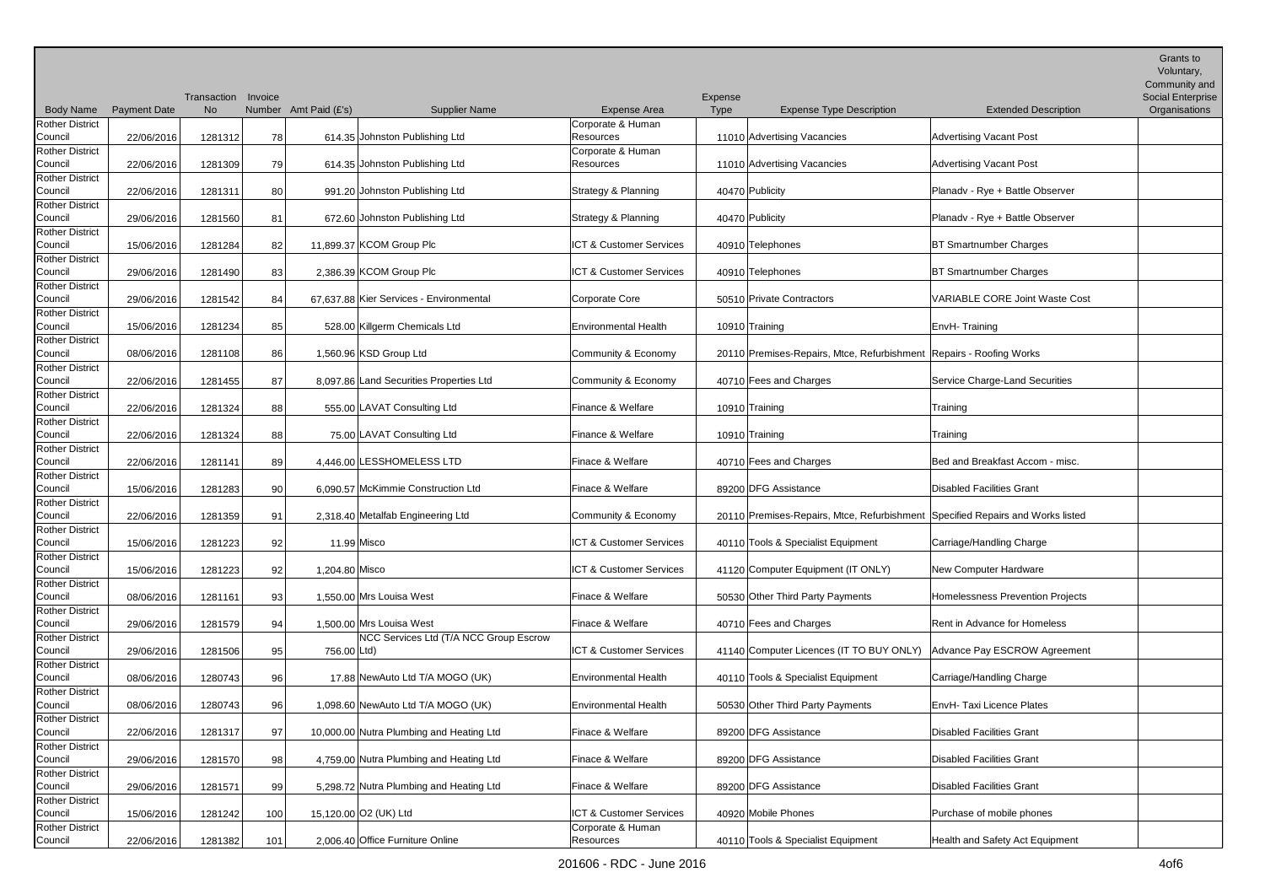|                                            |                     |             |         |                                                       |                                          |             |                                                                                |                                  | Grants to<br>Voluntary,<br>Community and |
|--------------------------------------------|---------------------|-------------|---------|-------------------------------------------------------|------------------------------------------|-------------|--------------------------------------------------------------------------------|----------------------------------|------------------------------------------|
|                                            |                     | Transaction | Invoice |                                                       |                                          | Expense     |                                                                                |                                  | <b>Social Enterprise</b>                 |
| <b>Body Name</b><br><b>Rother District</b> | <b>Payment Date</b> | No          |         | Number Amt Paid (£'s)<br><b>Supplier Name</b>         | <b>Expense Area</b><br>Corporate & Human | <b>Type</b> | <b>Expense Type Description</b>                                                | <b>Extended Description</b>      | Organisations                            |
| Council                                    | 22/06/2016          | 1281312     | 78      | 614.35 Johnston Publishing Ltd                        | Resources                                |             | 11010 Advertising Vacancies                                                    | <b>Advertising Vacant Post</b>   |                                          |
| <b>Rother District</b>                     |                     |             |         |                                                       | Corporate & Human                        |             |                                                                                |                                  |                                          |
| Council                                    | 22/06/2016          | 1281309     | 79      | 614.35 Johnston Publishing Ltd                        | Resources                                |             | 11010 Advertising Vacancies                                                    | Advertising Vacant Post          |                                          |
| Rother District                            |                     |             |         |                                                       |                                          |             |                                                                                |                                  |                                          |
| Council                                    | 22/06/2016          | 1281311     | 80      | 991.20 Johnston Publishing Ltd                        | Strategy & Planning                      |             | 40470 Publicity                                                                | Planadv - Rye + Battle Observer  |                                          |
| <b>Rother District</b>                     |                     |             |         |                                                       |                                          |             |                                                                                |                                  |                                          |
| Council                                    | 29/06/2016          | 1281560     | 81      | 672.60 Johnston Publishing Ltd                        | Strategy & Planning                      |             | 40470 Publicity                                                                | Planady - Rye + Battle Observer  |                                          |
| <b>Rother District</b>                     |                     |             |         |                                                       |                                          |             |                                                                                |                                  |                                          |
| Council                                    | 15/06/2016          | 1281284     | 82      | 11,899.37 KCOM Group Plc                              | ICT & Customer Services                  |             | 40910 Telephones                                                               | <b>BT Smartnumber Charges</b>    |                                          |
| <b>Rother District</b>                     |                     |             |         |                                                       |                                          |             |                                                                                |                                  |                                          |
| Council                                    | 29/06/2016          | 1281490     | 83      | 2,386.39 KCOM Group Plc                               | ICT & Customer Services                  |             | 40910 Telephones                                                               | <b>BT Smartnumber Charges</b>    |                                          |
| <b>Rother District</b><br>Council          | 29/06/2016          | 1281542     | 84      | 67,637.88 Kier Services - Environmental               | <b>Corporate Core</b>                    |             | 50510 Private Contractors                                                      | VARIABLE CORE Joint Waste Cost   |                                          |
| <b>Rother District</b>                     |                     |             |         |                                                       |                                          |             |                                                                                |                                  |                                          |
| Council                                    | 15/06/2016          | 1281234     | 85      | 528.00 Killgerm Chemicals Ltd                         | <b>Environmental Health</b>              |             | 10910 Training                                                                 | EnvH-Training                    |                                          |
| <b>Rother District</b>                     |                     |             |         |                                                       |                                          |             |                                                                                |                                  |                                          |
| Council                                    | 08/06/2016          | 1281108     | 86      | 1,560.96 KSD Group Ltd                                | Community & Economy                      |             | 20110 Premises-Repairs, Mtce, Refurbishment   Repairs - Roofing Works          |                                  |                                          |
| Rother District                            |                     |             |         |                                                       |                                          |             |                                                                                |                                  |                                          |
| Council                                    | 22/06/2016          | 1281455     | 87      | 8,097.86 Land Securities Properties Ltd               | Community & Economy                      |             | 40710 Fees and Charges                                                         | Service Charge-Land Securities   |                                          |
| <b>Rother District</b>                     |                     |             |         |                                                       |                                          |             |                                                                                |                                  |                                          |
| Council                                    | 22/06/2016          | 1281324     | 88      | 555.00 LAVAT Consulting Ltd                           | Finance & Welfare                        |             | 10910 Training                                                                 | Training                         |                                          |
| <b>Rother District</b>                     |                     |             |         |                                                       |                                          |             |                                                                                |                                  |                                          |
| Council                                    | 22/06/2016          | 1281324     | 88      | 75.00 LAVAT Consulting Ltd                            | Finance & Welfare                        |             | 10910 Training                                                                 | Training                         |                                          |
| <b>Rother District</b>                     |                     |             |         |                                                       |                                          |             |                                                                                |                                  |                                          |
| Council<br><b>Rother District</b>          | 22/06/2016          | 1281141     | 89      | 4,446.00 LESSHOMELESS LTD                             | Finace & Welfare                         |             | 40710 Fees and Charges                                                         | Bed and Breakfast Accom - misc.  |                                          |
| Council                                    | 15/06/2016          | 1281283     | 90      | 6,090.57 McKimmie Construction Ltd                    | Finace & Welfare                         |             | 89200 DFG Assistance                                                           | Disabled Facilities Grant        |                                          |
| <b>Rother District</b>                     |                     |             |         |                                                       |                                          |             |                                                                                |                                  |                                          |
| Council                                    | 22/06/2016          | 1281359     | 91      | 2,318.40 Metalfab Engineering Ltd                     | Community & Economy                      |             | 20110 Premises-Repairs, Mtce, Refurbishment Specified Repairs and Works listed |                                  |                                          |
| Rother District                            |                     |             |         |                                                       |                                          |             |                                                                                |                                  |                                          |
| Council                                    | 15/06/2016          | 1281223     | 92      | 11.99 Misco                                           | ICT & Customer Services                  |             | 40110 Tools & Specialist Equipment                                             | Carriage/Handling Charge         |                                          |
| <b>Rother District</b>                     |                     |             |         |                                                       |                                          |             |                                                                                |                                  |                                          |
| Council                                    | 15/06/2016          | 1281223     | 92      | 1,204.80 Misco                                        | ICT & Customer Services                  |             | 41120 Computer Equipment (IT ONLY)                                             | New Computer Hardware            |                                          |
| Rother District                            |                     |             |         |                                                       |                                          |             |                                                                                |                                  |                                          |
| Council                                    | 08/06/2016          | 1281161     | 93      | 1,550.00 Mrs Louisa West                              | Finace & Welfare                         |             | 50530 Other Third Party Payments                                               | Homelessness Prevention Projects |                                          |
| Rother District                            |                     |             |         |                                                       |                                          |             |                                                                                |                                  |                                          |
| Council                                    | 29/06/2016          | 1281579     | 94      | 1.500.00 Mrs Louisa West                              | Finace & Welfare                         |             | 40710 Fees and Charges                                                         | Rent in Advance for Homeless     |                                          |
| <b>Rother District</b><br>Council          | 29/06/2016          | 1281506     | 95      | NCC Services Ltd (T/A NCC Group Escrow<br>756.00 Ltd) | ICT & Customer Services                  |             | 41140 Computer Licences (IT TO BUY ONLY)                                       | Advance Pay ESCROW Agreement     |                                          |
| <b>Rother District</b>                     |                     |             |         |                                                       |                                          |             |                                                                                |                                  |                                          |
| Council                                    | 08/06/2016          | 1280743     | 96      | 17.88 NewAuto Ltd T/A MOGO (UK)                       | <b>Environmental Health</b>              |             | 40110 Tools & Specialist Equipment                                             | Carriage/Handling Charge         |                                          |
| <b>Rother District</b>                     |                     |             |         |                                                       |                                          |             |                                                                                |                                  |                                          |
| Council                                    | 08/06/2016          | 1280743     | 96      | 1,098.60 NewAuto Ltd T/A MOGO (UK)                    | <b>Environmental Health</b>              |             | 50530 Other Third Party Payments                                               | EnvH- Taxi Licence Plates        |                                          |
| <b>Rother District</b>                     |                     |             |         |                                                       |                                          |             |                                                                                |                                  |                                          |
| Council                                    | 22/06/2016          | 1281317     | 97      | 10,000.00 Nutra Plumbing and Heating Ltd              | Finace & Welfare                         |             | 89200 DFG Assistance                                                           | Disabled Facilities Grant        |                                          |
| Rother District                            |                     |             |         |                                                       |                                          |             |                                                                                |                                  |                                          |
| Council                                    | 29/06/2016          | 1281570     | 98      | 4,759.00 Nutra Plumbing and Heating Ltd               | Finace & Welfare                         |             | 89200 DFG Assistance                                                           | Disabled Facilities Grant        |                                          |
| <b>Rother District</b>                     |                     |             |         |                                                       |                                          |             |                                                                                |                                  |                                          |
| Council                                    | 29/06/2016          | 1281571     | 99      | 5,298.72 Nutra Plumbing and Heating Ltd               | Finace & Welfare                         |             | 89200 DFG Assistance                                                           | Disabled Facilities Grant        |                                          |
| <b>Rother District</b><br>Council          | 15/06/2016          | 1281242     | 100     | 15,120.00 O2 (UK) Ltd                                 | ICT & Customer Services                  |             | 40920 Mobile Phones                                                            | Purchase of mobile phones        |                                          |
| <b>Rother District</b>                     |                     |             |         |                                                       | Corporate & Human                        |             |                                                                                |                                  |                                          |
| Council                                    | 22/06/2016          | 1281382     | 101     | 2,006.40 Office Furniture Online                      | Resources                                |             | 40110 Tools & Specialist Equipment                                             | Health and Safety Act Equipment  |                                          |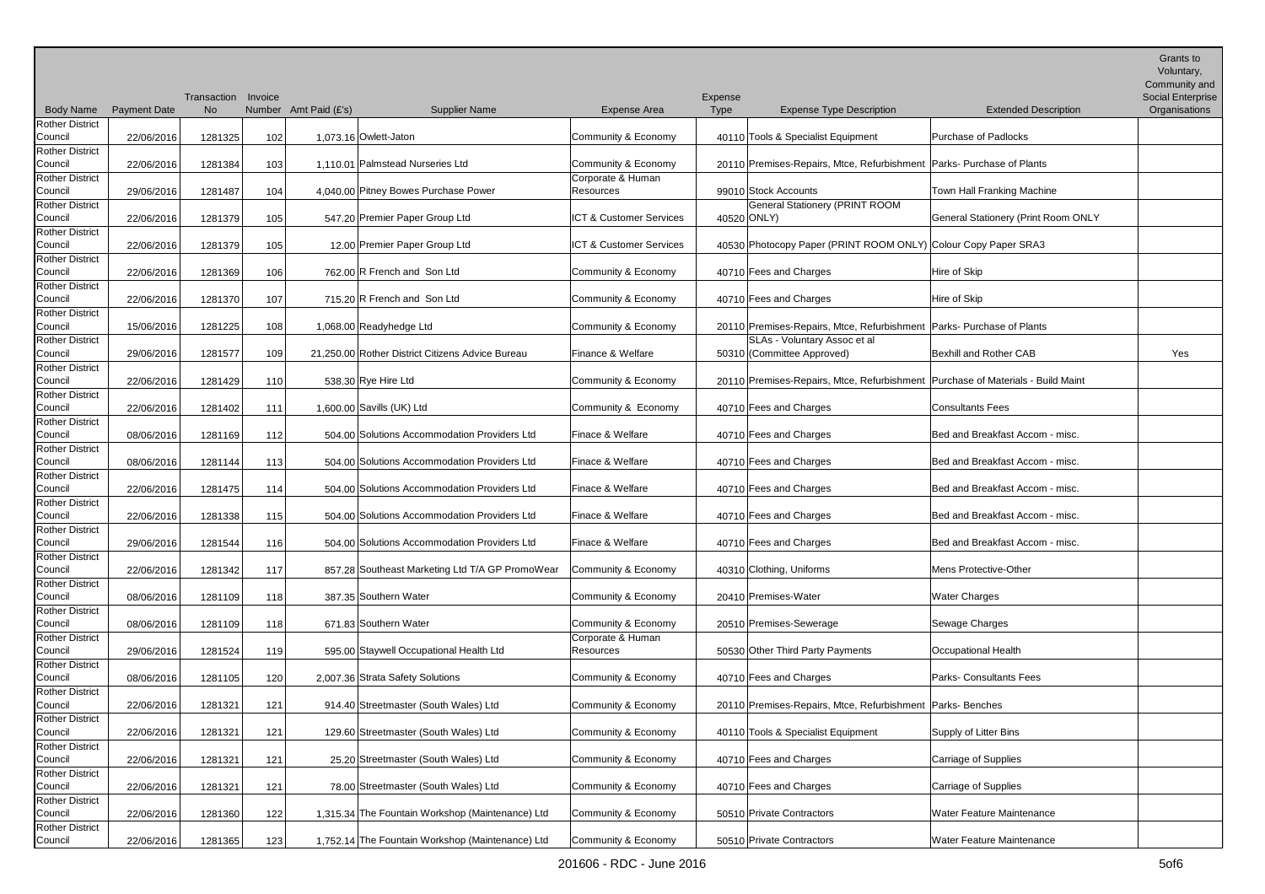|                                   |                     | Transaction Invoice |     |                                                  |                         | Expense |                                                                                   |                                     | Grants to<br>Voluntary,<br>Community and<br><b>Social Enterprise</b> |
|-----------------------------------|---------------------|---------------------|-----|--------------------------------------------------|-------------------------|---------|-----------------------------------------------------------------------------------|-------------------------------------|----------------------------------------------------------------------|
| <b>Body Name</b>                  | <b>Payment Date</b> | No                  |     | Number Amt Paid (£'s)<br><b>Supplier Name</b>    | <b>Expense Area</b>     | Type    | <b>Expense Type Description</b>                                                   | <b>Extended Description</b>         | Organisations                                                        |
| <b>Rother District</b><br>Council | 22/06/2016          | 1281325             | 102 | 1.073.16 Owlett-Jaton                            | Community & Economy     |         | 40110 Tools & Specialist Equipment                                                | Purchase of Padlocks                |                                                                      |
| <b>Rother District</b><br>Council | 22/06/2016          | 1281384             | 103 | 1,110.01 Palmstead Nurseries Ltd                 | Community & Economy     |         | 20110 Premises-Repairs, Mtce, Refurbishment   Parks- Purchase of Plants           |                                     |                                                                      |
| <b>Rother District</b>            |                     |                     |     |                                                  | Corporate & Human       |         |                                                                                   |                                     |                                                                      |
| Council                           | 29/06/2016          | 1281487             | 104 | 4,040.00 Pitney Bowes Purchase Power             | Resources               |         | 99010 Stock Accounts                                                              | Town Hall Franking Machine          |                                                                      |
| <b>Rother District</b>            |                     |                     |     |                                                  |                         |         | <b>General Stationery (PRINT ROOM</b>                                             |                                     |                                                                      |
| Council                           | 22/06/2016          | 1281379             | 105 | 547.20 Premier Paper Group Ltd                   | ICT & Customer Services |         | 40520 ONLY)                                                                       | General Stationery (Print Room ONLY |                                                                      |
| <b>Rother District</b><br>Council | 22/06/2016          | 1281379             | 105 | 12.00 Premier Paper Group Ltd                    | ICT & Customer Services |         | 40530 Photocopy Paper (PRINT ROOM ONLY) Colour Copy Paper SRA3                    |                                     |                                                                      |
| <b>Rother District</b>            |                     |                     |     |                                                  |                         |         |                                                                                   |                                     |                                                                      |
| Council                           | 22/06/2016          | 1281369             | 106 | 762.00 R French and Son Ltd                      | Community & Economy     |         | 40710 Fees and Charges                                                            | Hire of Skip                        |                                                                      |
| <b>Rother District</b>            |                     |                     |     |                                                  |                         |         |                                                                                   |                                     |                                                                      |
| Council                           | 22/06/2016          | 1281370             | 107 | 715.20 R French and Son Ltd                      | Community & Economy     |         | 40710 Fees and Charges                                                            | Hire of Skip                        |                                                                      |
| <b>Rother District</b>            |                     |                     |     |                                                  |                         |         |                                                                                   |                                     |                                                                      |
| Council                           | 15/06/2016          | 1281225             | 108 | 1,068.00 Readyhedge Ltd                          | Community & Economy     |         | 20110 Premises-Repairs, Mtce, Refurbishment   Parks- Purchase of Plants           |                                     |                                                                      |
| <b>Rother District</b><br>Council |                     | 1281577             | 109 | 21,250.00 Rother District Citizens Advice Bureau | Finance & Welfare       |         | SLAs - Voluntary Assoc et al<br>50310 (Committee Approved)                        | Bexhill and Rother CAB              |                                                                      |
| <b>Rother District</b>            | 29/06/2016          |                     |     |                                                  |                         |         |                                                                                   |                                     | Yes                                                                  |
| Council                           | 22/06/2016          | 1281429             | 110 | 538.30 Rye Hire Ltd                              | Community & Economy     |         | 20110 Premises-Repairs, Mtce, Refurbishment   Purchase of Materials - Build Maint |                                     |                                                                      |
| <b>Rother District</b>            |                     |                     |     |                                                  |                         |         |                                                                                   |                                     |                                                                      |
| Council                           | 22/06/2016          | 1281402             | 111 | 1,600.00 Savills (UK) Ltd                        | Community & Economy     |         | 40710 Fees and Charges                                                            | <b>Consultants Fees</b>             |                                                                      |
| <b>Rother District</b>            |                     |                     |     |                                                  |                         |         |                                                                                   |                                     |                                                                      |
| Council                           | 08/06/2016          | 1281169             | 112 | 504.00 Solutions Accommodation Providers Ltd     | Finace & Welfare        |         | 40710 Fees and Charges                                                            | Bed and Breakfast Accom - misc.     |                                                                      |
| <b>Rother District</b>            |                     |                     |     |                                                  |                         |         |                                                                                   |                                     |                                                                      |
| Council<br><b>Rother District</b> | 08/06/2016          | 1281144             | 113 | 504.00 Solutions Accommodation Providers Ltd     | Finace & Welfare        |         | 40710 Fees and Charges                                                            | Bed and Breakfast Accom - misc.     |                                                                      |
| Council                           | 22/06/2016          | 1281475             | 114 | 504.00 Solutions Accommodation Providers Ltd     | Finace & Welfare        |         | 40710 Fees and Charges                                                            | Bed and Breakfast Accom - misc.     |                                                                      |
| <b>Rother District</b>            |                     |                     |     |                                                  |                         |         |                                                                                   |                                     |                                                                      |
| Council                           | 22/06/2016          | 1281338             | 115 | 504.00 Solutions Accommodation Providers Ltd     | Finace & Welfare        |         | 40710 Fees and Charges                                                            | Bed and Breakfast Accom - misc.     |                                                                      |
| <b>Rother District</b>            |                     |                     |     |                                                  |                         |         |                                                                                   |                                     |                                                                      |
| Council                           | 29/06/2016          | 1281544             | 116 | 504.00 Solutions Accommodation Providers Ltd     | Finace & Welfare        |         | 40710 Fees and Charges                                                            | Bed and Breakfast Accom - misc.     |                                                                      |
| <b>Rother District</b>            |                     |                     |     |                                                  |                         |         |                                                                                   |                                     |                                                                      |
| Council                           | 22/06/2016          | 1281342             | 117 | 857.28 Southeast Marketing Ltd T/A GP PromoWear  | Community & Economy     |         | 40310 Clothing, Uniforms                                                          | <b>Mens Protective-Other</b>        |                                                                      |
| <b>Rother District</b>            |                     |                     |     |                                                  |                         |         |                                                                                   |                                     |                                                                      |
| Council<br>Rother District        | 08/06/2016          | 1281109             | 118 | 387.35 Southern Water                            | Community & Economy     |         | 20410 Premises-Water                                                              | <b>Water Charges</b>                |                                                                      |
| Council                           | 08/06/2016          | 1281109             | 118 | 671.83 Southern Water                            | Community & Economy     |         | 20510 Premises-Sewerage                                                           | Sewage Charges                      |                                                                      |
| <b>Rother District</b>            |                     |                     |     |                                                  | Corporate & Human       |         |                                                                                   |                                     |                                                                      |
| Council                           | 29/06/2016          | 1281524             | 119 | 595.00 Staywell Occupational Health Ltd          | Resources               |         | 50530 Other Third Party Payments                                                  | Occupational Health                 |                                                                      |
| <b>Rother District</b>            |                     |                     |     |                                                  |                         |         |                                                                                   |                                     |                                                                      |
| Council                           | 08/06/2016          | 1281105             | 120 | 2,007.36 Strata Safety Solutions                 | Community & Economy     |         | 40710 Fees and Charges                                                            | Parks- Consultants Fees             |                                                                      |
| <b>Rother District</b>            |                     |                     |     |                                                  |                         |         |                                                                                   |                                     |                                                                      |
| Council                           | 22/06/2016          | 1281321             | 121 | 914.40 Streetmaster (South Wales) Ltd            | Community & Economy     |         | 20110 Premises-Repairs, Mtce, Refurbishment   Parks-Benches                       |                                     |                                                                      |
| <b>Rother District</b>            |                     |                     |     |                                                  |                         |         |                                                                                   |                                     |                                                                      |
| Council<br><b>Rother District</b> | 22/06/2016          | 1281321             | 121 | 129.60 Streetmaster (South Wales) Ltd            | Community & Economy     |         | 40110 Tools & Specialist Equipment                                                | Supply of Litter Bins               |                                                                      |
| Council                           | 22/06/2016          | 1281321             | 121 | 25.20 Streetmaster (South Wales) Ltd             | Community & Economy     |         | 40710 Fees and Charges                                                            | Carriage of Supplies                |                                                                      |
| <b>Rother District</b>            |                     |                     |     |                                                  |                         |         |                                                                                   |                                     |                                                                      |
| Council                           | 22/06/2016          | 1281321             | 121 | 78.00 Streetmaster (South Wales) Ltd             | Community & Economy     |         | 40710 Fees and Charges                                                            | Carriage of Supplies                |                                                                      |
| <b>Rother District</b>            |                     |                     |     |                                                  |                         |         |                                                                                   |                                     |                                                                      |
| Council                           | 22/06/2016          | 1281360             | 122 | 1,315.34 The Fountain Workshop (Maintenance) Ltd | Community & Economy     |         | 50510 Private Contractors                                                         | <b>Water Feature Maintenance</b>    |                                                                      |
| <b>Rother District</b><br>Council | 22/06/2016          | 1281365             | 123 | 1,752.14 The Fountain Workshop (Maintenance) Ltd | Community & Economy     |         | 50510 Private Contractors                                                         | Water Feature Maintenance           |                                                                      |
|                                   |                     |                     |     |                                                  |                         |         |                                                                                   |                                     |                                                                      |